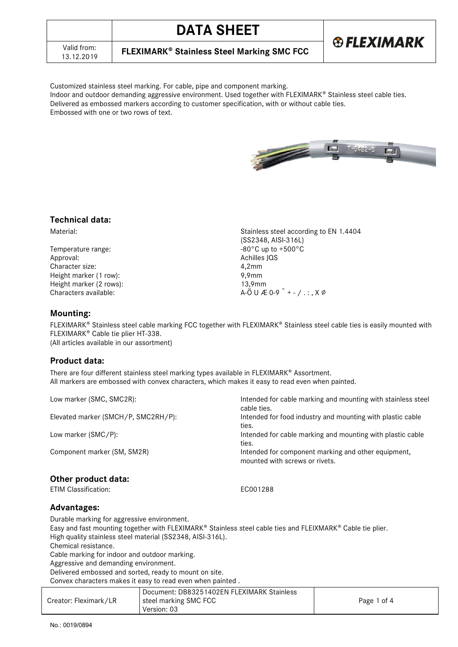|  | <b>CVILLADI</b> |  |  |  |
|--|-----------------|--|--|--|

**FLEXIMARK<sup>®</sup> Stainless Steel Marking SMC FCC** 

**DATA SHEET**

Customized stainless steel marking. For cable, pipe and component marking. Indoor and outdoor demanding aggressive environment. Used together with FLEXIMARK® Stainless steel cable ties. Delivered as embossed markers according to customer specification, with or without cable ties. Embossed with one or two rows of text.

## **Technical data:**

Valid from:<br>13.12.2019

Temperature range: Approval: Achilles JQS Character size: 4,2mm<br>
Height marker (1 row): 9,9mm Height marker (1 row): Height marker (2 rows): 13,9mm Characters available:  $A-\ddot{O} \cup A-\ddot{O} \cup A$  of  $A-\ddot{O} \cup A$  of  $A-\ddot{O} \cup A$  of  $A-\ddot{O} \cup A$ 

Material: Stainless steel according to EN 1.4404 (SS2348, AISI-316L)<br>-80°C up to +500°C

### **Mounting:**

FLEXIMARK<sup>®</sup> Stainless steel cable marking FCC together with FLEXIMARK<sup>®</sup> Stainless steel cable ties is easily mounted with FLEXIMARK<sup>®</sup> Cable tie plier HT-338. (All articles available in our assortment)

### **Product data:**

There are four different stainless steel marking types available in FLEXIMARK® Assortment. All markers are embossed with convex characters, which makes it easy to read even when painted.

| Intended for cable marking and mounting with stainless steel |
|--------------------------------------------------------------|
| cable ties.                                                  |
| Intended for food industry and mounting with plastic cable   |
|                                                              |
| ties.                                                        |
| Intended for cable marking and mounting with plastic cable   |
| ties.                                                        |
| Intended for component marking and other equipment,          |
| mounted with screws or rivets.                               |
|                                                              |
|                                                              |
| EC001288                                                     |
|                                                              |

## **Advantages:**

Durable marking for aggressive environment. Easy and fast mounting together with FLEXIMARK® Stainless steel cable ties and FLEIXMARK® Cable tie plier. High quality stainless steel material (SS2348, AISI-316L). Chemical resistance.

Cable marking for indoor and outdoor marking.

Aggressive and demanding environment.

Delivered embossed and sorted, ready to mount on site.

Convex characters makes it easy to read even when painted .

| Creator: Fleximark/LR | Document: DB83251402EN FLEXIMARK Stainless<br>steel marking SMC FCC<br>Version: 03 | Page 1 of 4 |
|-----------------------|------------------------------------------------------------------------------------|-------------|
|                       |                                                                                    |             |



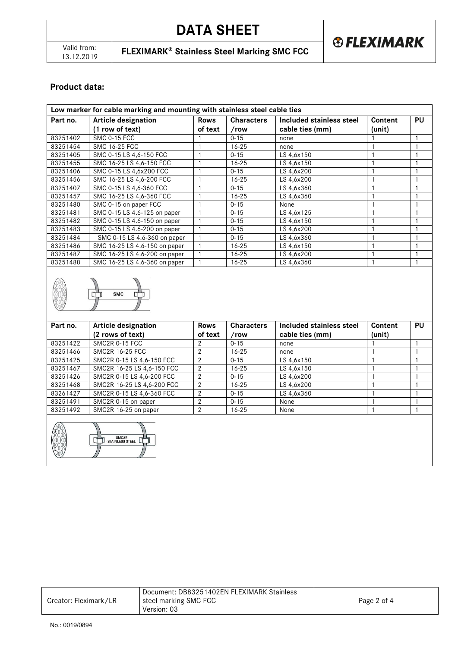**FLEXIMARK<sup>®</sup> Stainless Steel Marking SMC FCC** 

# **Product data:**

| Low marker for cable marking and mounting with stainless steel cable ties |                               |             |                   |                          |         |           |  |  |  |
|---------------------------------------------------------------------------|-------------------------------|-------------|-------------------|--------------------------|---------|-----------|--|--|--|
| Part no.                                                                  | <b>Article designation</b>    | <b>Rows</b> | <b>Characters</b> | Included stainless steel | Content | <b>PU</b> |  |  |  |
|                                                                           | (1 row of text)               | of text     | /row              | cable ties (mm)          | (unit)  |           |  |  |  |
| 83251402                                                                  | SMC 0-15 FCC                  |             | $0 - 15$          | none                     |         |           |  |  |  |
| 83251454                                                                  | <b>SMC 16-25 FCC</b>          |             | $16 - 25$         | none                     |         |           |  |  |  |
| 83251405                                                                  | SMC 0-15 LS 4,6-150 FCC       |             | $0 - 15$          | LS 4,6x150               |         |           |  |  |  |
| 83251455                                                                  | SMC 16-25 LS 4,6-150 FCC      |             | $16 - 25$         | LS 4,6x150               |         |           |  |  |  |
| 83251406                                                                  | SMC 0-15 LS 4,6x200 FCC       |             | $0 - 15$          | LS 4,6x200               |         |           |  |  |  |
| 83251456                                                                  | SMC 16-25 LS 4,6-200 FCC      |             | $16 - 25$         | LS 4,6x200               |         |           |  |  |  |
| 83251407                                                                  | SMC 0-15 LS 4,6-360 FCC       |             | $0 - 15$          | LS 4,6x360               |         |           |  |  |  |
| 83251457                                                                  | SMC 16-25 LS 4,6-360 FCC      |             | $16 - 25$         | LS 4,6x360               |         |           |  |  |  |
| 83251480                                                                  | SMC 0-15 on paper FCC         |             | $0 - 15$          | None                     |         |           |  |  |  |
| 83251481                                                                  | SMC 0-15 LS 4.6-125 on paper  |             | $0 - 15$          | LS 4,6x125               |         |           |  |  |  |
| 83251482                                                                  | SMC 0-15 LS 4.6-150 on paper  |             | $0 - 15$          | LS 4,6x150               |         |           |  |  |  |
| 83251483                                                                  | SMC 0-15 LS 4.6-200 on paper  |             | $0 - 15$          | LS 4,6x200               |         |           |  |  |  |
| 83251484                                                                  | SMC 0-15 LS 4.6-360 on paper  |             | $0 - 15$          | LS 4,6x360               |         |           |  |  |  |
| 83251486                                                                  | SMC 16-25 LS 4.6-150 on paper |             | $16 - 25$         | LS 4,6x150               |         |           |  |  |  |
| 83251487                                                                  | SMC 16-25 LS 4.6-200 on paper |             | $16 - 25$         | LS 4,6x200               |         |           |  |  |  |
| 83251488                                                                  | SMC 16-25 LS 4.6-360 on paper |             | $16 - 25$         | LS 4,6x360               |         |           |  |  |  |



| Part no. | <b>Article designation</b> | <b>Rows</b> | <b>Characters</b> | Included stainless steel | Content | <b>PU</b> |
|----------|----------------------------|-------------|-------------------|--------------------------|---------|-----------|
|          | (2 rows of text)           | of text     | /row              | cable ties (mm)          | (unit)  |           |
| 83251422 | SMC <sub>2R</sub> 0-15 FCC |             | $0 - 15$          | none                     |         |           |
| 83251466 | <b>SMC2R 16-25 FCC</b>     |             | $16 - 25$         | none                     |         |           |
| 83251425 | SMC2R 0-15 LS 4,6-150 FCC  | 2           | $0 - 15$          | LS 4,6x150               |         |           |
| 83251467 | SMC2R 16-25 LS 4,6-150 FCC | 2           | $16 - 25$         | LS 4,6x150               |         |           |
| 83251426 | SMC2R 0-15 LS 4.6-200 FCC  |             | $0 - 15$          | LS 4.6x200               |         |           |
| 83251468 | SMC2R 16-25 LS 4,6-200 FCC | 2           | $16 - 25$         | LS 4,6x200               |         |           |
| 83261427 | SMC2R 0-15 LS 4,6-360 FCC  | 2           | $0 - 15$          | LS 4,6x360               |         |           |
| 83251491 | SMC2R 0-15 on paper        |             | $0 - 15$          | None                     |         |           |
| 83251492 | SMC2R 16-25 on paper       |             | $16 - 25$         | None                     |         |           |
|          |                            |             |                   |                          |         |           |



| Document: DB83251402EN FLEXIMARK Stainless<br>steel marking SMC FCC<br>Creator: Fleximark/LR<br>Page 2 of 4<br>Version: 03 |  |
|----------------------------------------------------------------------------------------------------------------------------|--|
|----------------------------------------------------------------------------------------------------------------------------|--|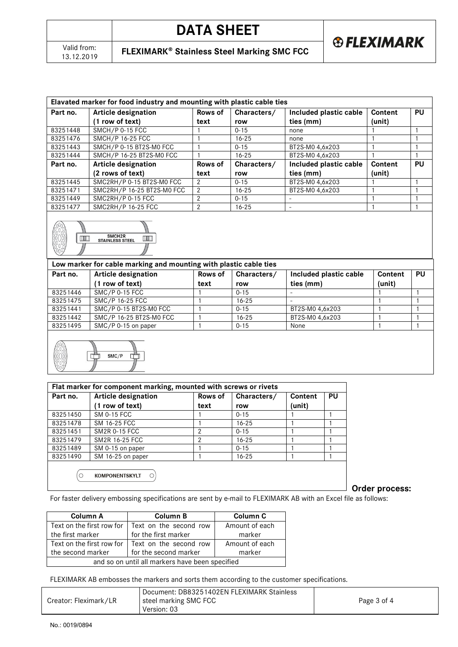13.12.2019 **FLEXIMARK Stainless Steel Marking SMC FCC**

**® FLEXIMARK** 

| Elavated marker for food industry and mounting with plastic cable ties |                            |               |             |                        |         |           |  |  |  |
|------------------------------------------------------------------------|----------------------------|---------------|-------------|------------------------|---------|-----------|--|--|--|
| Part no.                                                               | <b>Article designation</b> | Rows of       | Characters/ | Included plastic cable | Content | <b>PU</b> |  |  |  |
|                                                                        | (1 row of text)            | text          | row         | ties (mm)              | (unit)  |           |  |  |  |
| 83251448                                                               | SMCH/P 0-15 FCC            |               | $0 - 15$    | none                   |         |           |  |  |  |
| 83251476                                                               | SMCH/P 16-25 FCC           |               | $16 - 25$   | none                   |         |           |  |  |  |
| 83251443                                                               | SMCH/P 0-15 BT2S-M0 FCC    |               | $0 - 15$    | BT2S-M0 4,6x203        |         |           |  |  |  |
| 83251444                                                               | SMCH/P 16-25 BT2S-M0 FCC   |               | $16 - 25$   | BT2S-M0 4,6x203        |         |           |  |  |  |
| Part no.                                                               | <b>Article designation</b> |               | Characters/ | Included plastic cable | Content | PU        |  |  |  |
|                                                                        | (2 rows of text)           | text          | row         | ties (mm)              | (unit)  |           |  |  |  |
| 83251445                                                               | SMC2RH/P 0-15 BT2S-M0 FCC  | 2             | $0 - 15$    | BT2S-M0 4.6x203        |         |           |  |  |  |
| 83251471                                                               | SMC2RH/P 16-25 BT2S-M0 FCC | $\mathcal{P}$ | $16 - 25$   | BT2S-M0 4.6x203        |         |           |  |  |  |
| 83251449                                                               | SMC2RH/P 0-15 FCC          | 2             | $0 - 15$    | -                      |         |           |  |  |  |
| 83251477                                                               | SMC2RH/P 16-25 FCC         | 2             | $16 - 25$   | -                      |         |           |  |  |  |



| Part no. | <b>Article designation</b><br>(1 row of text) | Rows of<br>text | Characters/<br>row | Included plastic cable<br>ties (mm) | Content<br>(unit) | <b>PU</b> |
|----------|-----------------------------------------------|-----------------|--------------------|-------------------------------------|-------------------|-----------|
| 83251446 | SMC/P 0-15 FCC                                |                 | $0 - 15$           |                                     |                   |           |
|          |                                               |                 |                    |                                     |                   |           |
| 83251475 | SMC/P 16-25 FCC                               |                 | $16 - 25$          |                                     |                   |           |
| 83251441 | SMC/P 0-15 BT2S-M0 FCC                        |                 | $0 - 15$           | BT2S-M0 4,6x203                     |                   |           |
| 83251442 | SMC/P 16-25 BT2S-M0 FCC                       |                 | $16 - 25$          | BT2S-M0 4.6x203                     |                   |           |
| 83251495 | SMC/P 0-15 on paper                           |                 | $0 - 15$           | None                                |                   |           |



| Flat marker for component marking, mounted with screws or rivets |                            |         |             |         |    |  |  |  |
|------------------------------------------------------------------|----------------------------|---------|-------------|---------|----|--|--|--|
| Part no.                                                         | <b>Article designation</b> | Rows of | Characters/ | Content | PU |  |  |  |
|                                                                  | (1 row of text)            | text    | row         | (unit)  |    |  |  |  |
| 83251450                                                         | <b>SM 0-15 FCC</b>         |         | $0 - 15$    |         |    |  |  |  |
| 83251478                                                         | SM 16-25 FCC               |         | $16 - 25$   |         |    |  |  |  |
| 83251451                                                         | <b>SM2R 0-15 FCC</b>       | 2       | $0 - 15$    |         |    |  |  |  |
| 83251479                                                         | SM2R 16-25 FCC             | 2       | $16 - 25$   |         |    |  |  |  |
| 83251489                                                         | SM 0-15 on paper           |         | $0 - 15$    |         |    |  |  |  |
| 83251490                                                         | SM 16-25 on paper          |         | $16 - 25$   |         |    |  |  |  |
| C                                                                | <b>KOMPONENTSKYLT</b><br>∩ |         |             |         |    |  |  |  |

**Order process:** 

For faster delivery embossing specifications are sent by e-mail to FLEXIMARK AB with an Excel file as follows:

| <b>Column A</b>                                 | <b>Column B</b>        | Column C       |  |  |  |
|-------------------------------------------------|------------------------|----------------|--|--|--|
| Text on the first row for                       | Text on the second row | Amount of each |  |  |  |
| the first marker                                | for the first marker   | marker         |  |  |  |
| Text on the first row for                       | Text on the second row | Amount of each |  |  |  |
| the second marker                               | for the second marker  | marker         |  |  |  |
| and so on until all markers have been specified |                        |                |  |  |  |

FLEXIMARK AB embosses the markers and sorts them according to the customer specifications.

| Creator: Fleximark/LR | Document: DB83251402EN FLEXIMARK Stainless<br>steel marking SMC FCC <br>Version: 03 | Page 3 of 4 |
|-----------------------|-------------------------------------------------------------------------------------|-------------|
|                       |                                                                                     |             |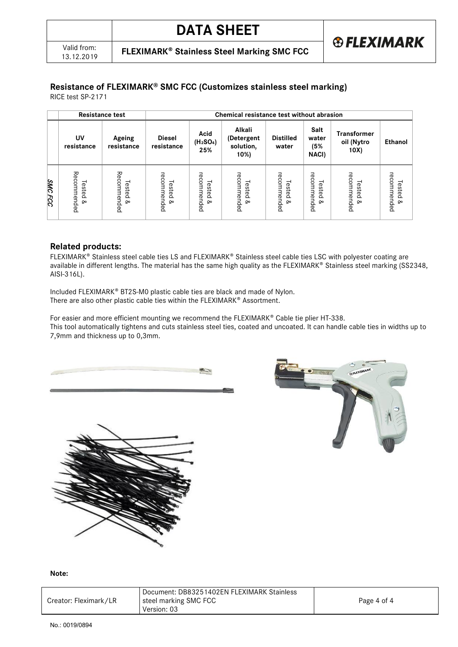**FLEXIMARK<sup>®</sup> Stainless Steel Marking SMC FCC** 

# **Resistance of FLEXIMARK® SMC FCC (Customizes stainless steel marking)**

RICE test SP-2171

|                   | <b>Resistance test</b>            |                                   |                                   | Chemical resistance test without abrasion        |                                           |                                    |                                   |                                          |                                   |  |
|-------------------|-----------------------------------|-----------------------------------|-----------------------------------|--------------------------------------------------|-------------------------------------------|------------------------------------|-----------------------------------|------------------------------------------|-----------------------------------|--|
|                   | UV<br>resistance                  | Ageing<br>resistance              | <b>Diesel</b><br>resistance       | Acid<br>(H <sub>2</sub> SO <sub>4</sub> )<br>25% | Alkali<br>(Detergent<br>solution,<br>10%) | <b>Distilled</b><br>water          | Salt<br>water<br>(5%<br>NACI)     | <b>Transformer</b><br>oil (Nytro<br>10X) | <b>Ethanol</b>                    |  |
| <b>SMC</b><br>FCC | Recommended<br>Tested<br>$\infty$ | Recommended<br>Tested<br>$\infty$ | recommended<br>Tested<br>$\infty$ | recommended<br>Tested<br><b>Qo</b>               | recommended<br>Tested<br>$\infty$         | recommended<br>Tested<br><b>Qo</b> | recommended<br>Tested<br>$\infty$ | recommended<br>Tested<br>$\infty$        | recommended<br>Tested<br>$\infty$ |  |

### **Related products:**

FLEXIMARK<sup>®</sup> Stainless steel cable ties LS and FLEXIMARK<sup>®</sup> Stainless steel cable ties LSC with polyester coating are available in different lengths. The material has the same high quality as the FLEXIMARK® Stainless steel marking (SS2348, AISI-316L).

Included FLEXIMARK® BT2S-M0 plastic cable ties are black and made of Nylon. There are also other plastic cable ties within the FLEXIMARK® Assortment.

For easier and more efficient mounting we recommend the FLEXIMARK® Cable tie plier HT-338. This tool automatically tightens and cuts stainless steel ties, coated and uncoated. It can handle cable ties in widths up to 7,9mm and thickness up to 0,3mm.







#### **Note:**

|                       | Document: DB83251402EN FLEXIMARK Stainless |             |
|-----------------------|--------------------------------------------|-------------|
| Creator: Fleximark/LR | steel marking SMC FCC                      | Page 4 of 4 |
|                       | Version: 03                                |             |